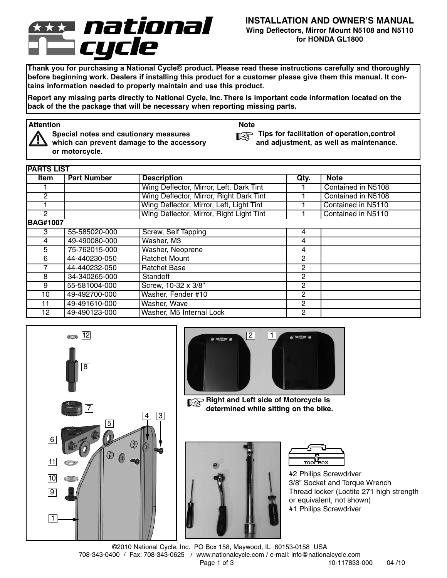# national cycle

#### **INSTALLATION AND OWNER'S MANUAL Wing Deflectors, Mirror Mount N5108 and N5110 for HONDA GL1800**

**Thank you for purchasing a National Cycle® product. Please read these instructions carefully and thoroughly** before beginning work. Dealers if installing this product for a customer please give them this manual. It con**tains information needed to properly maintain and use this product.**

Report any missing parts directly to National Cycle, Inc. There is important code information located on the **back of the the package that will be necessary when reporting missing parts.**

# **Attention Note**



**Special notes and cautionary measures which can prevent damage to the accessory or motorcycle.**

**Tips for facilitation of operation,control and adjustment, as well as maintenance.**

| <b>PARTS LIST</b> |                    |                                          |                |                    |
|-------------------|--------------------|------------------------------------------|----------------|--------------------|
| Item              | <b>Part Number</b> | <b>Description</b>                       | Qty.           | <b>Note</b>        |
|                   |                    | Wing Deflector, Mirror, Left, Dark Tint  |                | Contained in N5108 |
| $\mathbf{2}$      |                    | Wing Deflector, Mirror, Right Dark Tint  |                | Contained in N5108 |
|                   |                    | Wing Deflector, Mirror, Left, Light Tint |                | Contained in N5110 |
| 2                 |                    | Wing Deflector, Mirror, Right Light Tint |                | Contained in N5110 |
| <b>BAG#1007</b>   |                    |                                          |                |                    |
| 3                 | 55-585020-000      | Screw, Self Tapping                      | 4              |                    |
| 4                 | 49-490080-000      | Washer, M3                               | 4              |                    |
| 5                 | 75-762015-000      | Washer, Neoprene                         | 4              |                    |
| 6                 | 44-440230-050      | <b>Ratchet Mount</b>                     | $\mathbf{2}$   |                    |
|                   | 44-440232-050      | <b>Ratchet Base</b>                      | $\mathbf{2}$   |                    |
| 8                 | 34-340265-000      | Standoff                                 | 2              |                    |
| 9                 | 55-581004-000      | Screw, 10-32 x 3/8"                      | $\mathbf{2}$   |                    |
| 10                | 49-492700-000      | Washer, Fender #10                       | $\overline{2}$ |                    |
| 11                | 49-491610-000      | Washer, Wave                             | $\overline{2}$ |                    |
| 12                | 49-490123-000      | Washer, M5 Internal Lock                 | 2              |                    |





**Right and Left side of Motorcycle is determined while sitting on the bike.**





#2 Philips Screwdriver 3/8'' Socket and Torque Wrench Thread locker (Loctite 271 high strength or equivalent, not shown) #1 Philips Screwdriver

©2010 National Cycle, Inc. PO Box 158, Maywood, IL 60153-0158 USA 708-343-0400 / Fax: 708-343-0625 / www.nationalcycle.com / e-mail: info@nationalcycle.com Page 1 of 3 10-117833-000 04 /10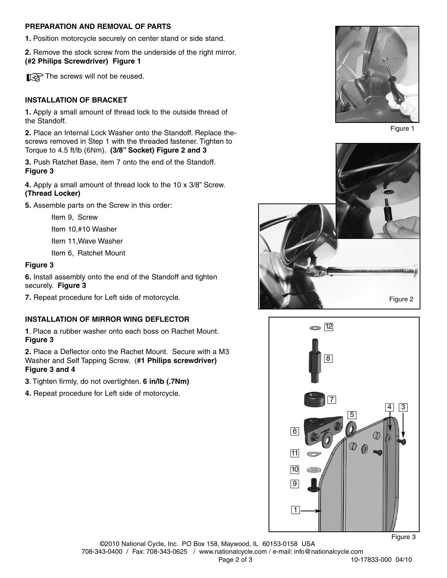### **PREPARATION AND REMOVAL OF PARTS**

**1.** Position motorcycle securely on center stand or side stand.

**2.** Remove the stock screw from the underside of the right mirror. **(#2 Philips Screwdriver) Figure 1**

The screws will not be reused.

### **INSTALLATION OF BRACKET**

**1.** Apply a small amount of thread lock to the outside thread of the Standoff.

**2.** Place an Internal Lock Washer onto the Standoff. Replace thescrews removed in Step 1 with the threaded fastener. Tighten to Torque to 4.5 ft/lb (6Nm). **(3/8" Socket) Figure 2 and 3**

**3.** Push Ratchet Base, item 7 onto the end of the Standoff. **Figure 3**

**4.** Apply a small amount of thread lock to the 10 x 3/8" Screw. **(Thread Locker)**

**5.** Assemble parts on the Screw in this order:

Item 9, Screw

Item 10,#10 Washer

Item 11,Wave Washer

Item 6, Ratchet Mount

#### **Figure 3**

**6.** Install assembly onto the end of the Standoff and tighten securely. **Figure 3**

**7.** Repeat procedure for Left side of motorcycle.

#### **INSTALLATION OF MIRROR WING DEFLECTOR**

**1**. Place a rubber washer onto each boss on Rachet Mount. **Figure 3**

**2.** Place a Deflector onto the Rachet Mount. Secure with a M3 Washer and Self Tapping Screw. (**#1 Philips screwdriver) Figure 3 and 4**

**3**. Tighten firmly, do not overtighten. **6 in/lb (.7Nm)**

**4.** Repeat procedure for Left side of motorcycle.



Figure 1





Figure 3